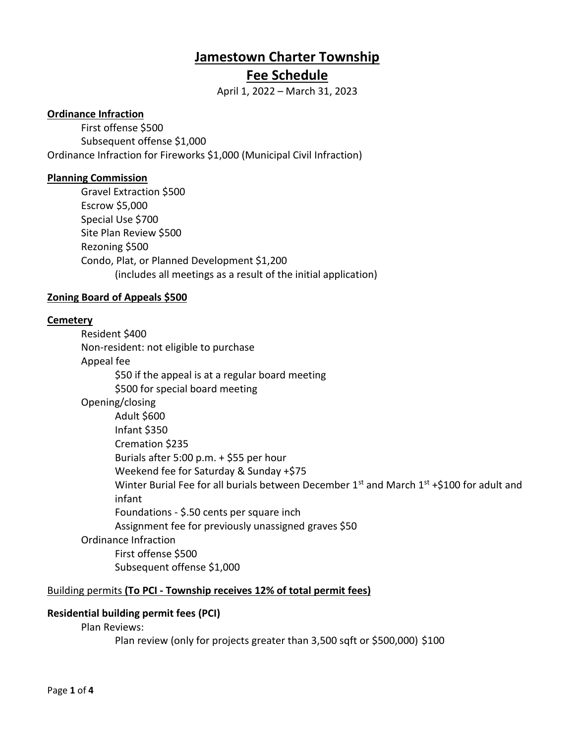# **Jamestown Charter Township**

## **Fee Schedule**

April 1, 2022 – March 31, 2023

## **Ordinance Infraction**

First offense \$500 Subsequent offense \$1,000 Ordinance Infraction for Fireworks \$1,000 (Municipal Civil Infraction)

## **Planning Commission**

Gravel Extraction \$500 Escrow \$5,000 Special Use \$700 Site Plan Review \$500 Rezoning \$500 Condo, Plat, or Planned Development \$1,200 (includes all meetings as a result of the initial application)

## **Zoning Board of Appeals \$500**

## **Cemetery**

Resident \$400 Non-resident: not eligible to purchase Appeal fee \$50 if the appeal is at a regular board meeting \$500 for special board meeting Opening/closing Adult \$600 Infant \$350 Cremation \$235 Burials after 5:00 p.m. + \$55 per hour Weekend fee for Saturday & Sunday +\$75 Winter Burial Fee for all burials between December  $1<sup>st</sup>$  and March  $1<sup>st</sup> + $100$  for adult and infant Foundations - \$.50 cents per square inch Assignment fee for previously unassigned graves \$50 Ordinance Infraction First offense \$500 Subsequent offense \$1,000

## Building permits **(To PCI - Township receives 12% of total permit fees)**

## **Residential building permit fees (PCI)**

Plan Reviews:

Plan review (only for projects greater than 3,500 sqft or \$500,000) \$100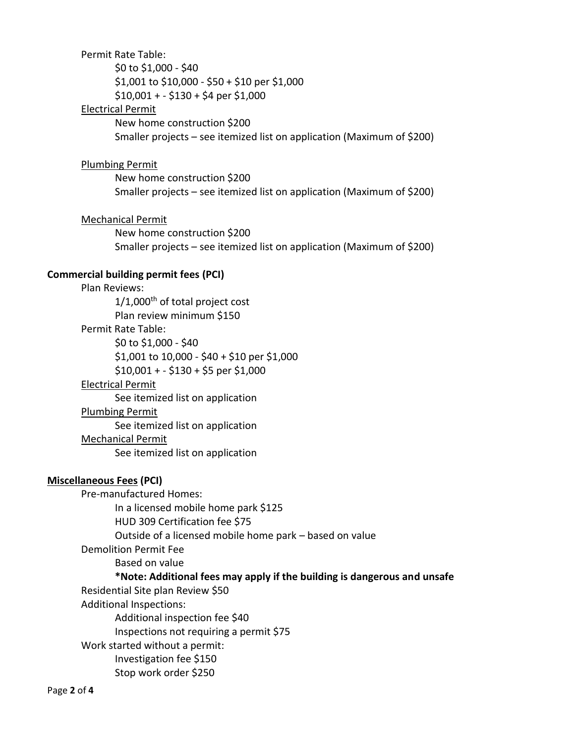#### Permit Rate Table:

\$0 to \$1,000 - \$40 \$1,001 to \$10,000 - \$50 + \$10 per \$1,000  $$10,001 + - $130 + $4$  per \$1,000

#### Electrical Permit

New home construction \$200 Smaller projects – see itemized list on application (Maximum of \$200)

#### Plumbing Permit

New home construction \$200 Smaller projects – see itemized list on application (Maximum of \$200)

#### Mechanical Permit

New home construction \$200 Smaller projects – see itemized list on application (Maximum of \$200)

#### **Commercial building permit fees (PCI)**

Plan Reviews:  $1/1,000$ <sup>th</sup> of total project cost Plan review minimum \$150 Permit Rate Table: \$0 to \$1,000 - \$40 \$1,001 to 10,000 - \$40 + \$10 per \$1,000 \$10,001 + - \$130 + \$5 per \$1,000 Electrical Permit See itemized list on application Plumbing Permit See itemized list on application Mechanical Permit See itemized list on application

#### **Miscellaneous Fees (PCI)**

Pre-manufactured Homes: In a licensed mobile home park \$125 HUD 309 Certification fee \$75 Outside of a licensed mobile home park – based on value Demolition Permit Fee Based on value **\*Note: Additional fees may apply if the building is dangerous and unsafe** Residential Site plan Review \$50 Additional Inspections: Additional inspection fee \$40 Inspections not requiring a permit \$75 Work started without a permit: Investigation fee \$150 Stop work order \$250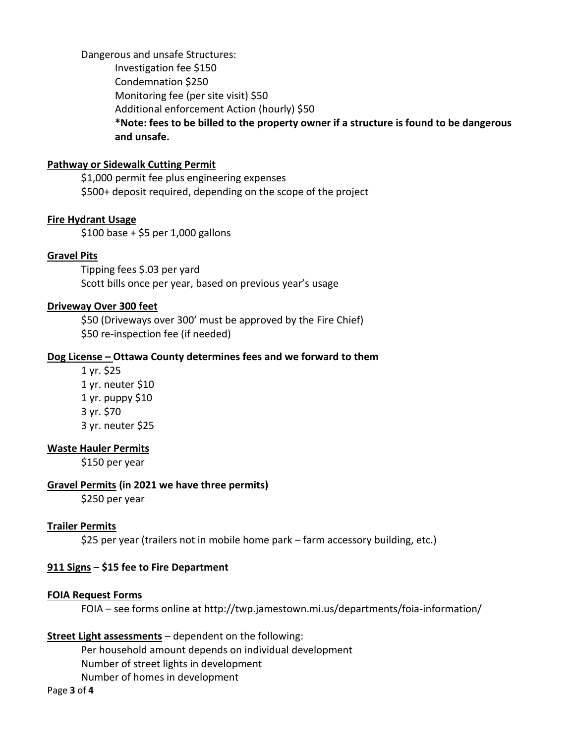Dangerous and unsafe Structures:

Investigation fee \$150 Condemnation \$250 Monitoring fee (per site visit) \$50 Additional enforcement Action (hourly) \$50 **\*Note: fees to be billed to the property owner if a structure is found to be dangerous and unsafe.**

## **Pathway or Sidewalk Cutting Permit**

\$1,000 permit fee plus engineering expenses \$500+ deposit required, depending on the scope of the project

## **Fire Hydrant Usage**

\$100 base + \$5 per 1,000 gallons

## **Gravel Pits**

Tipping fees \$.03 per yard Scott bills once per year, based on previous year's usage

## **Driveway Over 300 feet**

\$50 (Driveways over 300' must be approved by the Fire Chief) \$50 re-inspection fee (if needed)

#### **Dog License – Ottawa County determines fees and we forward to them**

1 yr. \$25 1 yr. neuter \$10 1 yr. puppy \$10 3 yr. \$70 3 yr. neuter \$25

#### **Waste Hauler Permits**

\$150 per year

#### **Gravel Permits (in 2021 we have three permits)**

\$250 per year

## **Trailer Permits**

\$25 per year (trailers not in mobile home park – farm accessory building, etc.)

## **911 Signs** – **\$15 fee to Fire Department**

## **FOIA Request Forms**

FOIA – see forms online at http://twp.jamestown.mi.us/departments/foia-information/

## **Street Light assessments** – dependent on the following:

Per household amount depends on individual development Number of street lights in development Number of homes in development